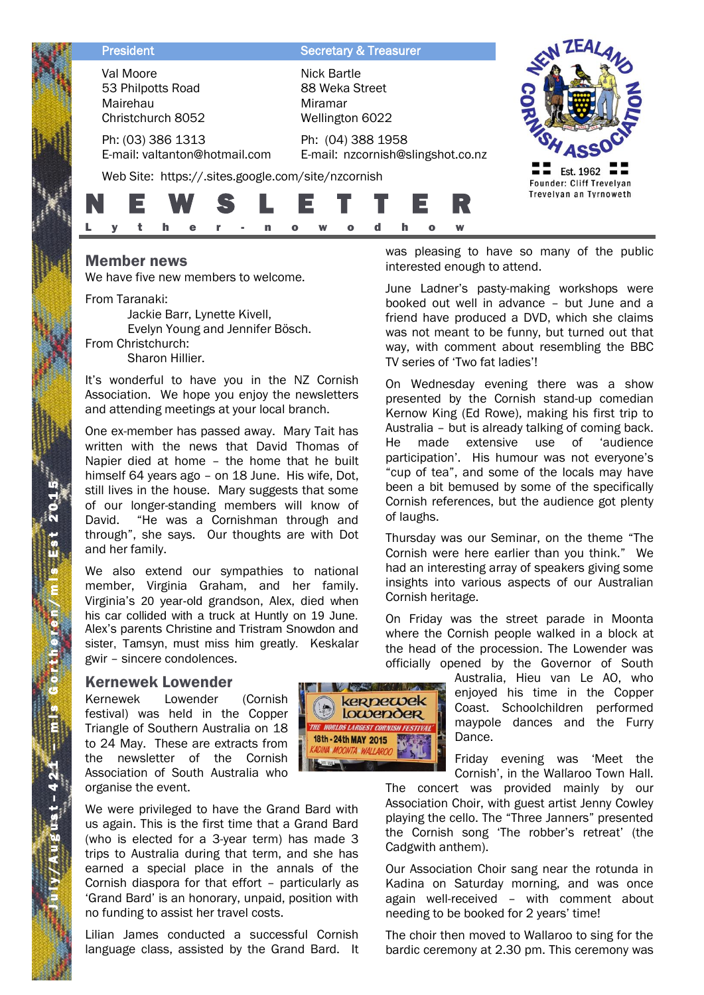| <b>President</b>                                                | <b>Secretary &amp; Treasurer</b>                            |                                       |
|-----------------------------------------------------------------|-------------------------------------------------------------|---------------------------------------|
| Val Moore<br>53 Philpotts Road<br>Mairehau<br>Christchurch 8052 | Nick Bartle<br>88 Weka Street<br>Miramar<br>Wellington 6022 |                                       |
| Ph: (03) 386 1313<br>E-mail: valtanton@hotmail.com              | Ph: (04) 388 1958<br>E-mail: nzcornish@slingshot.co.nz      |                                       |
| Web Site: https://.sites.google.com/site/nzcornish              |                                                             | Est. 1962<br>Founder: Cliff Trevelyan |
|                                                                 | lE.                                                         | Trevelyan an Tyrnoweth                |
|                                                                 | W                                                           |                                       |

# Member news

We have five new members to welcome.

From Taranaki: Jackie Barr, Lynette Kivell, Evelyn Young and Jennifer Bösch. From Christchurch: Sharon Hillier.

It's wonderful to have you in the NZ Cornish Association. We hope you enjoy the newsletters and attending meetings at your local branch.

One ex-member has passed away. Mary Tait has written with the news that David Thomas of Napier died at home – the home that he built himself 64 years ago – on 18 June. His wife, Dot, still lives in the house. Mary suggests that some of our longer-standing members will know of David. "He was a Cornishman through and through", she says. Our thoughts are with Dot and her family.

We also extend our sympathies to national member, Virginia Graham, and her family. Virginia's 20 year-old grandson, Alex, died when his car collided with a truck at Huntly on 19 June. Alex's parents Christine and Tristram Snowdon and sister, Tamsyn, must miss him greatly. Keskalar gwir – sincere condolences.

### Kernewek Lowender

Kernewek Lowender (Cornish festival) was held in the Copper Triangle of Southern Australia on 18 to 24 May. These are extracts from the newsletter of the Cornish Association of South Australia who organise the event.

We were privileged to have the Grand Bard with us again. This is the first time that a Grand Bard (who is elected for a 3-year term) has made 3 trips to Australia during that term, and she has earned a special place in the annals of the Cornish diaspora for that effort – particularly as 'Grand Bard' is an honorary, unpaid, position with no funding to assist her travel costs.

Lilian James conducted a successful Cornish language class, assisted by the Grand Bard. It

**WERE kerpewek Lowender** THE WORLDS LARGEST CORNISH FESTIVAL 18th - 24th MAY 2015 ADINA MOONTA WALLAROO

was pleasing to have so many of the public interested enough to attend.

June Ladner's pasty-making workshops were booked out well in advance – but June and a friend have produced a DVD, which she claims was not meant to be funny, but turned out that way, with comment about resembling the BBC TV series of 'Two fat ladies'!

On Wednesday evening there was a show presented by the Cornish stand-up comedian Kernow King (Ed Rowe), making his first trip to Australia – but is already talking of coming back. He made extensive use of 'audience participation'. His humour was not everyone's "cup of tea", and some of the locals may have been a bit bemused by some of the specifically Cornish references, but the audience got plenty of laughs.

Thursday was our Seminar, on the theme "The Cornish were here earlier than you think." We had an interesting array of speakers giving some insights into various aspects of our Australian Cornish heritage.

On Friday was the street parade in Moonta where the Cornish people walked in a block at the head of the procession. The Lowender was officially opened by the Governor of South

Australia, Hieu van Le AO, who enjoyed his time in the Copper Coast. Schoolchildren performed maypole dances and the Furry Dance.

Friday evening was 'Meet the Cornish', in the Wallaroo Town Hall.

The concert was provided mainly by our Association Choir, with guest artist Jenny Cowley playing the cello. The "Three Janners" presented the Cornish song 'The robber's retreat' (the Cadgwith anthem).

Our Association Choir sang near the rotunda in Kadina on Saturday morning, and was once again well-received – with comment about needing to be booked for 2 years' time!

The choir then moved to Wallaroo to sing for the bardic ceremony at 2.30 pm. This ceremony was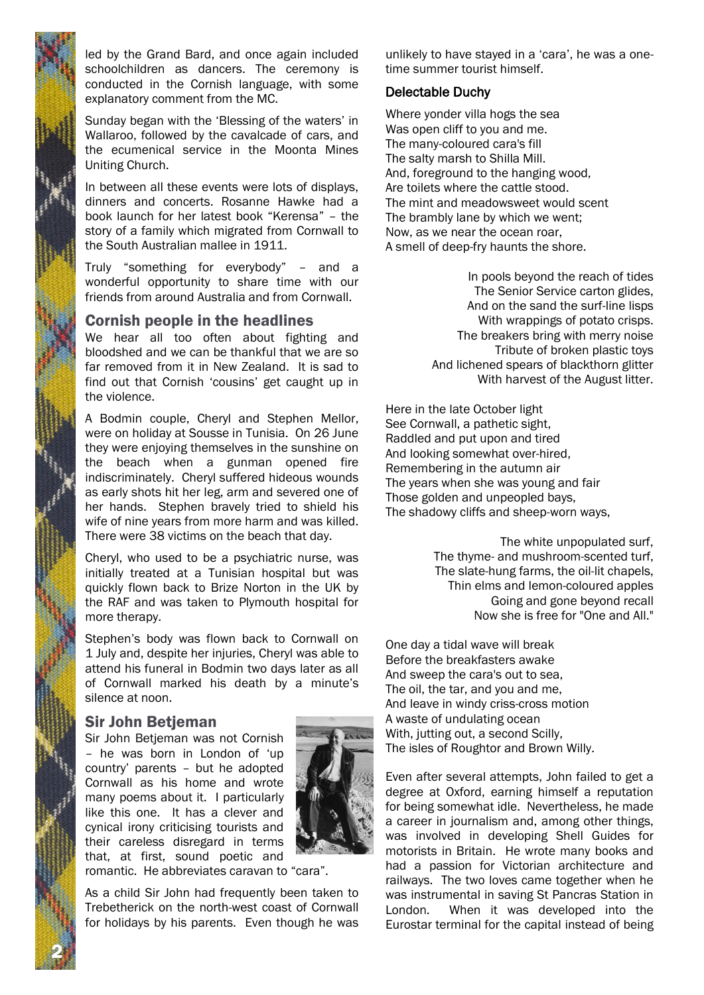

led by the Grand Bard, and once again included schoolchildren as dancers. The ceremony is conducted in the Cornish language, with some explanatory comment from the MC.

Sunday began with the 'Blessing of the waters' in Wallaroo, followed by the cavalcade of cars, and the ecumenical service in the Moonta Mines Uniting Church.

In between all these events were lots of displays, dinners and concerts. Rosanne Hawke had a book launch for her latest book "Kerensa" – the story of a family which migrated from Cornwall to the South Australian mallee in 1911.

Truly "something for everybody" – and a wonderful opportunity to share time with our friends from around Australia and from Cornwall.

### Cornish people in the headlines

We hear all too often about fighting and bloodshed and we can be thankful that we are so far removed from it in New Zealand. It is sad to find out that Cornish 'cousins' get caught up in the violence.

A Bodmin couple, Cheryl and Stephen Mellor, were on holiday at Sousse in Tunisia. On 26 June they were enjoying themselves in the sunshine on the beach when a gunman opened fire indiscriminately. Cheryl suffered hideous wounds as early shots hit her leg, arm and severed one of her hands. Stephen bravely tried to shield his wife of nine years from more harm and was killed. There were 38 victims on the beach that day.

Cheryl, who used to be a psychiatric nurse, was initially treated at a Tunisian hospital but was quickly flown back to Brize Norton in the UK by the RAF and was taken to Plymouth hospital for more therapy.

Stephen's body was flown back to Cornwall on 1 July and, despite her injuries, Cheryl was able to attend his funeral in Bodmin two days later as all of Cornwall marked his death by a minute's silence at noon.

#### Sir John Betjeman

Sir John Betjeman was not Cornish – he was born in London of 'up country' parents – but he adopted Cornwall as his home and wrote many poems about it. I particularly like this one. It has a clever and cynical irony criticising tourists and their careless disregard in terms that, at first, sound poetic and



romantic. He abbreviates caravan to "cara".

As a child Sir John had frequently been taken to Trebetherick on the north-west coast of Cornwall for holidays by his parents. Even though he was

unlikely to have stayed in a 'cara', he was a onetime summer tourist himself.

### Delectable Duchy

Where yonder villa hogs the sea Was open cliff to you and me. The many-coloured cara's fill The salty marsh to Shilla Mill. And, foreground to the hanging wood, Are toilets where the cattle stood. The mint and meadowsweet would scent The brambly lane by which we went; Now, as we near the ocean roar, A smell of deep-fry haunts the shore.

> In pools beyond the reach of tides The Senior Service carton glides, And on the sand the surf-line lisps With wrappings of potato crisps. The breakers bring with merry noise Tribute of broken plastic toys And lichened spears of blackthorn glitter With harvest of the August litter.

Here in the late October light See Cornwall, a pathetic sight, Raddled and put upon and tired And looking somewhat over-hired, Remembering in the autumn air The years when she was young and fair Those golden and unpeopled bays, The shadowy cliffs and sheep-worn ways,

> The white unpopulated surf, The thyme- and mushroom-scented turf, The slate-hung farms, the oil-lit chapels, Thin elms and lemon-coloured apples Going and gone beyond recall Now she is free for "One and All."

One day a tidal wave will break Before the breakfasters awake And sweep the cara's out to sea, The oil, the tar, and you and me, And leave in windy criss-cross motion A waste of undulating ocean With, jutting out, a second Scilly, The isles of Roughtor and Brown Willy.

Even after several attempts, John failed to get a degree at Oxford, earning himself a reputation for being somewhat idle. Nevertheless, he made a career in journalism and, among other things, was involved in developing Shell Guides for motorists in Britain. He wrote many books and had a passion for Victorian architecture and railways. The two loves came together when he was instrumental in saving St Pancras Station in London. When it was developed into the Eurostar terminal for the capital instead of being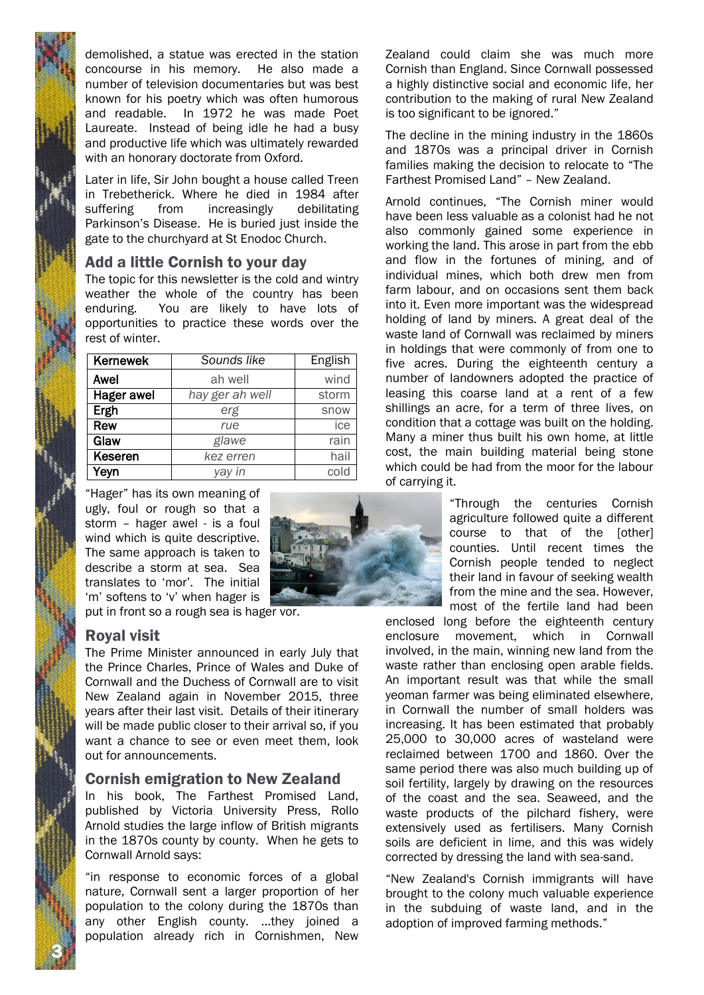demolished, a statue was erected in the station concourse in his memory. He also made a number of television documentaries but was best known for his poetry which was often humorous and readable. In 1972 he was made Poet Laureate. Instead of being idle he had a busy and productive life which was ultimately rewarded with an honorary doctorate from Oxford.

Later in life, Sir John bought a house called Treen in Trebetherick. Where he died in 1984 after suffering from increasingly debilitating Parkinson's Disease. He is buried just inside the gate to the churchyard at St Enodoc Church.

## Add a little Cornish to your day

The topic for this newsletter is the cold and wintry weather the whole of the country has been enduring. You are likely to have lots of opportunities to practice these words over the rest of winter.

| <b>Kernewek</b> | Sounds like     | <b>English</b> |
|-----------------|-----------------|----------------|
| Awel            | ah well         | wind           |
| Hager awel      | hay ger ah well | storm          |
| Ergh            | erg             | snow           |
| Rew             | rue             | ice            |
| Glaw            | glawe           | rain           |
| Keseren         | kez erren       | hail           |
| Yeyn            | yay in          | cold           |

"Hager" has its own meaning of ugly, foul or rough so that a storm – hager awel - is a foul wind which is quite descriptive. The same approach is taken to describe a storm at sea. Sea translates to 'mor'. The initial 'm' softens to 'v' when hager is put in front so a rough sea is hager vor.



## Royal visit

3 N

The Prime Minister announced in early July that the Prince Charles, Prince of Wales and Duke of Cornwall and the Duchess of Cornwall are to visit New Zealand again in November 2015, three years after their last visit. Details of their itinerary will be made public closer to their arrival so, if you want a chance to see or even meet them, look out for announcements.

## Cornish emigration to New Zealand

In his book, The Farthest Promised Land, published by Victoria University Press, Rollo Arnold studies the large inflow of British migrants in the 1870s county by county. When he gets to Cornwall Arnold says:

"in response to economic forces of a global nature, Cornwall sent a larger proportion of her population to the colony during the 1870s than any other English county. …they joined a population already rich in Cornishmen, New Zealand could claim she was much more Cornish than England. Since Cornwall possessed a highly distinctive social and economic life, her contribution to the making of rural New Zealand is too significant to be ignored."

The decline in the mining industry in the 1860s and 1870s was a principal driver in Cornish families making the decision to relocate to "The Farthest Promised Land" – New Zealand.

Arnold continues, "The Cornish miner would have been less valuable as a colonist had he not also commonly gained some experience in working the land. This arose in part from the ebb and flow in the fortunes of mining, and of individual mines, which both drew men from farm labour, and on occasions sent them back into it. Even more important was the widespread holding of land by miners. A great deal of the waste land of Cornwall was reclaimed by miners in holdings that were commonly of from one to five acres. During the eighteenth century a number of landowners adopted the practice of leasing this coarse land at a rent of a few shillings an acre, for a term of three lives, on condition that a cottage was built on the holding. Many a miner thus built his own home, at little cost, the main building material being stone which could be had from the moor for the labour of carrying it.

> "Through the centuries Cornish agriculture followed quite a different course to that of the [other] counties. Until recent times the Cornish people tended to neglect their land in favour of seeking wealth from the mine and the sea. However, most of the fertile land had been

enclosed long before the eighteenth century enclosure movement, which in Cornwall involved, in the main, winning new land from the waste rather than enclosing open arable fields. An important result was that while the small yeoman farmer was being eliminated elsewhere, in Cornwall the number of small holders was increasing. It has been estimated that probably 25,000 to 30,000 acres of wasteland were reclaimed between 1700 and 1860. Over the same period there was also much building up of soil fertility, largely by drawing on the resources of the coast and the sea. Seaweed, and the waste products of the pilchard fishery, were extensively used as fertilisers. Many Cornish soils are deficient in lime, and this was widely corrected by dressing the land with sea-sand.

"New Zealand's Cornish immigrants will have brought to the colony much valuable experience in the subduing of waste land, and in the adoption of improved farming methods."